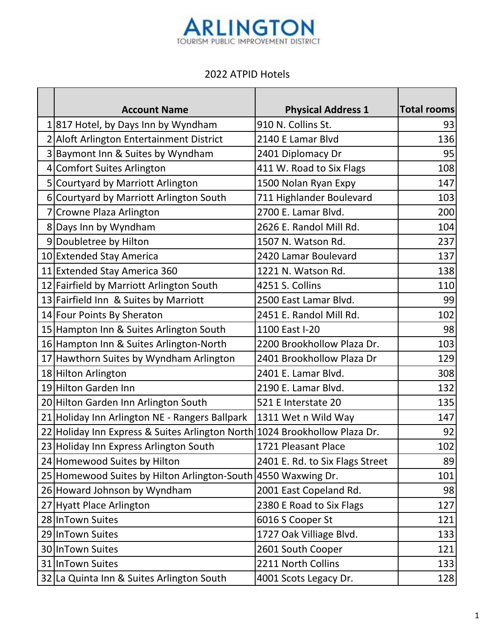

## 2022 ATPID Hotels

| <b>Account Name</b>                                                        | <b>Physical Address 1</b>       | Total rooms |
|----------------------------------------------------------------------------|---------------------------------|-------------|
| 1 817 Hotel, by Days Inn by Wyndham                                        | 910 N. Collins St.              | 93          |
| 2 Aloft Arlington Entertainment District                                   | 2140 E Lamar Blvd               | 136         |
| 3 Baymont Inn & Suites by Wyndham                                          | 2401 Diplomacy Dr               | 95          |
| 4 Comfort Suites Arlington                                                 | 411 W. Road to Six Flags        | 108         |
| 5 Courtyard by Marriott Arlington                                          | 1500 Nolan Ryan Expy            | 147         |
| 6 Courtyard by Marriott Arlington South                                    | 711 Highlander Boulevard        | 103         |
| 7 Crowne Plaza Arlington                                                   | 2700 E. Lamar Blvd.             | 200         |
| 8 Days Inn by Wyndham                                                      | 2626 E. Randol Mill Rd.         | 104         |
| 9 Doubletree by Hilton                                                     | 1507 N. Watson Rd.              | 237         |
| 10 Extended Stay America                                                   | 2420 Lamar Boulevard            | 137         |
| 11 Extended Stay America 360                                               | 1221 N. Watson Rd.              | 138         |
| 12 Fairfield by Marriott Arlington South                                   | 4251 S. Collins                 | 110         |
| 13 Fairfield Inn & Suites by Marriott                                      | 2500 East Lamar Blvd.           | 99          |
| 14 Four Points By Sheraton                                                 | 2451 E. Randol Mill Rd.         | 102         |
| 15 Hampton Inn & Suites Arlington South                                    | 1100 East I-20                  | 98          |
| 16 Hampton Inn & Suites Arlington-North                                    | 2200 Brookhollow Plaza Dr.      | 103         |
| 17 Hawthorn Suites by Wyndham Arlington                                    | 2401 Brookhollow Plaza Dr       | 129         |
| 18 Hilton Arlington                                                        | 2401 E. Lamar Blvd.             | 308         |
| 19 Hilton Garden Inn                                                       | 2190 E. Lamar Blvd.             | 132         |
| 20 Hilton Garden Inn Arlington South                                       | 521 E Interstate 20             | 135         |
| 21 Holiday Inn Arlington NE - Rangers Ballpark                             | 1311 Wet n Wild Way             | 147         |
| 22 Holiday Inn Express & Suites Arlington North 1024 Brookhollow Plaza Dr. |                                 | 92          |
| 23 Holiday Inn Express Arlington South                                     | 1721 Pleasant Place             | 102         |
| 24 Homewood Suites by Hilton                                               | 2401 E. Rd. to Six Flags Street | 89          |
| 25 Homewood Suites by Hilton Arlington-South 4550 Waxwing Dr.              |                                 | 101         |
| 26 Howard Johnson by Wyndham                                               | 2001 East Copeland Rd.          | 98          |
| 27 Hyatt Place Arlington                                                   | 2380 E Road to Six Flags        | 127         |
| 28 InTown Suites                                                           | 6016 S Cooper St                | 121         |
| 29 InTown Suites                                                           | 1727 Oak Villiage Blvd.         | 133         |
| 30 InTown Suites                                                           | 2601 South Cooper               | 121         |
| 31 InTown Suites                                                           | 2211 North Collins              | 133         |
| 32 La Quinta Inn & Suites Arlington South                                  | 4001 Scots Legacy Dr.           | 128         |